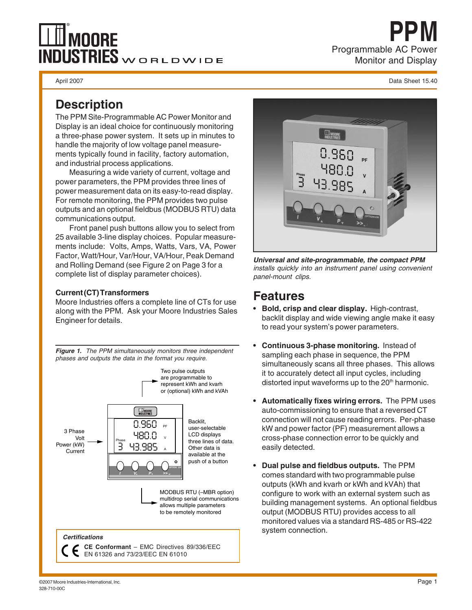# **MOORE**  $\overline{\text{INDUSTRIES}}$ WORLDWIDE

Programmable AC Power Monitor and Display **PPM**

April 2007 Data Sheet 15.40

#### **Description**

The PPM Site-Programmable AC Power Monitor and Display is an ideal choice for continuously monitoring a three-phase power system. It sets up in minutes to handle the majority of low voltage panel measurements typically found in facility, factory automation, and industrial process applications.

Measuring a wide variety of current, voltage and power parameters, the PPM provides three lines of power measurement data on its easy-to-read display. For remote monitoring, the PPM provides two pulse outputs and an optional fieldbus (MODBUS RTU) data communications output.

Front panel push buttons allow you to select from 25 available 3-line display choices. Popular measurements include: Volts, Amps, Watts, Vars, VA, Power Factor, Watt/Hour, Var/Hour, VA/Hour, Peak Demand and Rolling Demand (see Figure 2 on Page 3 for a complete list of display parameter choices).

#### **Current (CT) Transformers**

Moore Industries offers a complete line of CTs for use along with the PPM. Ask your Moore Industries Sales Engineer for details.

**Figure 1.** The PPM simultaneously monitors three independent phases and outputs the data in the format you require.



EN 61326 and 73/23/EEC EN 61010



**Universal and site-programmable, the compact PPM** installs quickly into an instrument panel using convenient panel-mount clips.

### **Features**

- **Bold, crisp and clear display.** High-contrast, backlit display and wide viewing angle make it easy to read your system's power parameters.
- **Continuous 3-phase monitoring.** Instead of sampling each phase in sequence, the PPM simultaneously scans all three phases. This allows it to accurately detect all input cycles, including distorted input waveforms up to the  $20<sup>th</sup>$  harmonic.
- **Automatically fixes wiring errors.** The PPM uses auto-commissioning to ensure that a reversed CT connection will not cause reading errors. Per-phase kW and power factor (PF) measurement allows a cross-phase connection error to be quickly and easily detected.
- **Dual pulse and fieldbus outputs.** The PPM comes standard with two programmable pulse outputs (kWh and kvarh or kWh and kVAh) that configure to work with an external system such as building management systems. An optional fieldbus output (MODBUS RTU) provides access to all monitored values via a standard RS-485 or RS-422 system connection.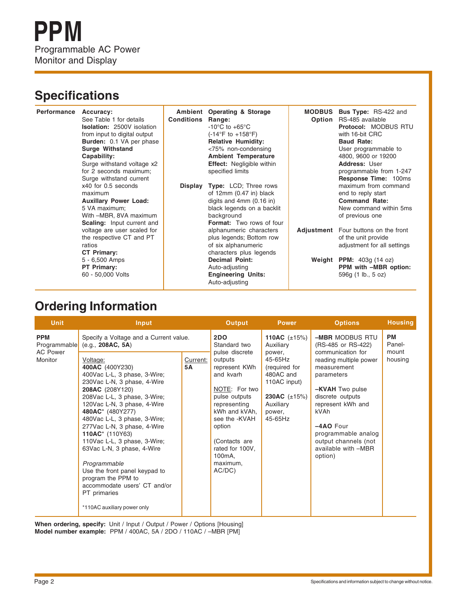## **Specifications**

| Performance | Accuracy:<br>See Table 1 for details<br><b>Isolation: 2500V isolation</b><br>from input to digital output<br><b>Burden:</b> 0.1 VA per phase<br><b>Surge Withstand</b> | <b>Conditions</b> | Ambient Operating & Storage<br>Range:<br>$-10^{\circ}$ C to $+65^{\circ}$ C<br>$(-14^{\circ}F \text{ to } +158^{\circ}F)$<br><b>Relative Humidity:</b><br><75% non-condensing | <b>MODBUS</b><br>Option | <b>Bus Type: RS-422 and</b><br>RS-485 available<br><b>Protocol: MODBUS RTU</b><br>with 16-bit CRC<br><b>Baud Rate:</b><br>User programmable to |
|-------------|------------------------------------------------------------------------------------------------------------------------------------------------------------------------|-------------------|-------------------------------------------------------------------------------------------------------------------------------------------------------------------------------|-------------------------|------------------------------------------------------------------------------------------------------------------------------------------------|
|             | Capability:                                                                                                                                                            |                   | <b>Ambient Temperature</b>                                                                                                                                                    |                         | 4800, 9600 or 19200                                                                                                                            |
|             | Surge withstand voltage x2<br>for 2 seconds maximum;<br>Surge withstand current                                                                                        |                   | <b>Effect:</b> Negligible within<br>specified limits                                                                                                                          |                         | Address: User<br>programmable from 1-247<br><b>Response Time: 100ms</b>                                                                        |
|             | x40 for 0.5 seconds<br>maximum                                                                                                                                         |                   | <b>Display Type:</b> LCD; Three rows<br>of $12mm(0.47 in) black$                                                                                                              |                         | maximum from command<br>end to reply start                                                                                                     |
|             | <b>Auxillary Power Load:</b>                                                                                                                                           |                   | digits and $4mm(0.16 in)$                                                                                                                                                     |                         | <b>Command Rate:</b>                                                                                                                           |
|             | 5 VA maximum;<br>With -MBR, 8VA maximum<br><b>Scaling:</b> Input current and                                                                                           |                   | black legends on a backlit<br>background<br><b>Format:</b> Two rows of four                                                                                                   |                         | New command within 5ms<br>of previous one                                                                                                      |
|             | voltage are user scaled for<br>the respective CT and PT<br>ratios<br>CT Primary:                                                                                       |                   | alphanumeric characters<br>plus legends; Bottom row<br>of six alphanumeric<br>characters plus legends                                                                         |                         | <b>Adjustment</b> Four buttons on the front<br>of the unit provide<br>adjustment for all settings                                              |
|             | 5 - 6,500 Amps                                                                                                                                                         |                   | <b>Decimal Point:</b>                                                                                                                                                         |                         | Weight PPM: $403g(14 oz)$                                                                                                                      |
|             | PT Primary:                                                                                                                                                            |                   | Auto-adjusting                                                                                                                                                                |                         | PPM with -MBR option:                                                                                                                          |
|             | 60 - 50,000 Volts                                                                                                                                                      |                   | <b>Engineering Units:</b><br>Auto-adjusting                                                                                                                                   |                         | 596g (1 lb., 5 oz)                                                                                                                             |

## **Ordering Information**

| <b>Unit</b>                                              | Input                                                                                                                                                                                                                                                                                                                                                                                                                                                            |                | <b>Output</b>                                                                                                                                                                                                                                                 | <b>Power</b>                                                                                                                                                      | <b>Options</b>                                                                                                                                                                                                                                                                        | <b>Housing</b>                          |
|----------------------------------------------------------|------------------------------------------------------------------------------------------------------------------------------------------------------------------------------------------------------------------------------------------------------------------------------------------------------------------------------------------------------------------------------------------------------------------------------------------------------------------|----------------|---------------------------------------------------------------------------------------------------------------------------------------------------------------------------------------------------------------------------------------------------------------|-------------------------------------------------------------------------------------------------------------------------------------------------------------------|---------------------------------------------------------------------------------------------------------------------------------------------------------------------------------------------------------------------------------------------------------------------------------------|-----------------------------------------|
| <b>PPM</b><br>Programmable<br><b>AC Power</b><br>Monitor | Specify a Voltage and a Current value.<br>(e.g., 208AC, 5A)<br>Voltage:<br>400AC (400Y230)<br>400Vac L-L, 3 phase, 3-Wire;<br>230Vac L-N, 3 phase, 4-Wire<br>208AC (208Y120)<br>208Vac L-L, 3 phase, 3-Wire;<br>120Vac L-N, 3 phase, 4-Wire<br>480AC* (480Y277)<br>480Vac L-L, 3 phase, 3-Wire;<br>277Vac L-N, 3 phase, 4-Wire<br>110AC* (110Y63)<br>110Vac L-L, 3 phase, 3-Wire;<br>63Vac L-N, 3 phase, 4-Wire<br>Programmable<br>Use the front panel keypad to | Current:<br>5A | 2DO<br>Standard two<br>pulse discrete<br>outputs<br>represent KWh<br>and kvarh<br>NOTE: For two<br>pulse outputs<br>representing<br>kWh and kVAh,<br>see the -KVAH<br>option<br>(Contacts are<br>rated for 100V,<br>100 <sub>m</sub> A,<br>maximum.<br>AC/DC) | 110AC $(\pm 15\%)$<br>Auxiliary<br>power,<br>45-65Hz<br>(required for<br>480AC and<br>110AC input)<br><b>230AC</b> $(\pm 15\%)$<br>Auxiliary<br>power,<br>45-65Hz | -MBR MODBUS RTU<br>(RS-485 or RS-422)<br>communication for<br>reading multiple power<br>measurement<br>parameters<br>-KVAH Two pulse<br>discrete outputs<br>represent kWh and<br>kVAh<br>$-4AO$ Four<br>programmable analog<br>output channels (not<br>available with -MBR<br>option) | <b>PM</b><br>Panel-<br>mount<br>housing |
|                                                          | program the PPM to<br>accommodate users' CT and/or<br>PT primaries<br>*110AC auxiliary power only                                                                                                                                                                                                                                                                                                                                                                |                |                                                                                                                                                                                                                                                               |                                                                                                                                                                   |                                                                                                                                                                                                                                                                                       |                                         |

When ordering, specify: Unit / Input / Output / Power / Options [Housing] **Model number example:** PPM / 400AC, 5A / 2DO / 110AC / –MBR [PM]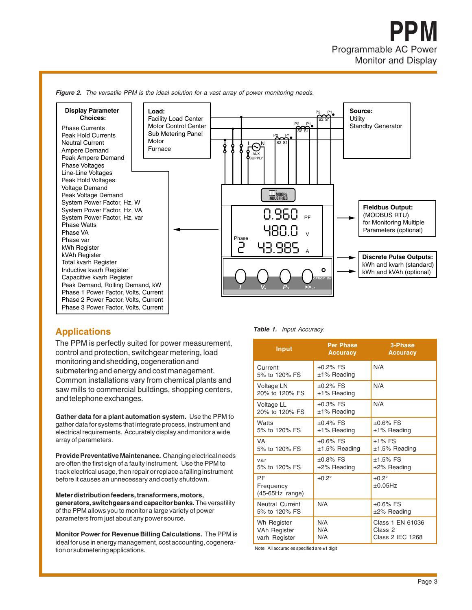![](_page_2_Figure_1.jpeg)

Figure 2. The versatile PPM is the ideal solution for a vast array of power monitoring needs.

The PPM is perfectly suited for power measurement, control and protection, switchgear metering, load monitoring and shedding, cogeneration and submetering and energy and cost management. Common installations vary from chemical plants and saw mills to commercial buildings, shopping centers, and telephone exchanges.

**Gather data for a plant automation system.** Use the PPM to gather data for systems that integrate process, instrument and electrical requirements. Accurately display and monitor a wide array of parameters.

**Provide Preventative Maintenance.** Changing electrical needs are often the first sign of a faulty instrument. Use the PPM to track electrical usage, then repair or replace a failing instrument before it causes an unnecessary and costly shutdown.

**Meter distribution feeders, transformers, motors, generators, switchgears and capacitor banks.** The versatility of the PPM allows you to monitor a large variety of power parameters from just about any power source.

**Monitor Power for Revenue Billing Calculations.** The PPM is ideal for use in energy management, cost accounting, cogeneration or submetering applications.

**Applications Table 1.** Input Accuracy.

| Input                                        | <b>Per Phase</b><br><b>Accuracy</b> | 3-Phase<br><b>Accuracy</b>                             |  |
|----------------------------------------------|-------------------------------------|--------------------------------------------------------|--|
| Current<br>5% to 120% FS                     | $±0.2\%$ FS<br>$±1\%$ Reading       | N/A                                                    |  |
| Voltage LN<br>20% to 120% FS                 | $±0.2\%$ FS<br>$±1\%$ Reading       | N/A                                                    |  |
| Voltage LL<br>20% to 120% FS                 | $±0.3%$ FS<br>$±1\%$ Reading        | N/A                                                    |  |
| Watts<br>5% to 120% FS                       | $±0.4\%$ FS<br>$±1\%$ Reading       | $±0.6\%$ FS<br>$±1\%$ Reading                          |  |
| <b>VA</b><br>5% to 120% FS                   | $±0.6%$ FS<br>$±1.5\%$ Reading      | $±1\%$ FS<br>$±1.5\%$ Reading                          |  |
| var<br>5% to 120% FS                         | $±0.8\%$ FS<br>$±2\%$ Reading       | $±1.5\%$ FS<br>$±2\%$ Reading                          |  |
| PF<br>Frequency<br>(45-65Hz range)           | $+0.2^{\circ}$                      | $+0.2^{\circ}$<br>±0.05Hz                              |  |
| <b>Neutral Current</b><br>5% to 120% FS      | N/A                                 | $±0.6\%$ FS<br>$±2\%$ Reading                          |  |
| Wh Register<br>VAh Register<br>varh Register | N/A<br>N/A<br>N/A                   | Class 1 EN 61036<br>Class 2<br><b>Class 2 IEC 1268</b> |  |

Note: All accuracies specified are ±1 digit